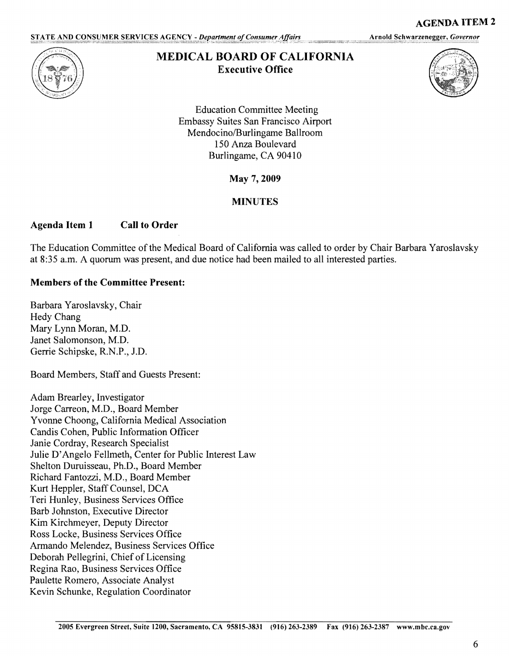STATE AND CONSUMER SERVICES AGENCY - Department of Consumer Affairs

Arnold Schwarzenegger, Governor



## **MEDICAL BOARD OF CALIFORNIA Executive Office**



**AGENDA ITEM 2** 

Education Committee Meeting Embassy Suites San Francisco Airport Mendocino/Burlingame Ballroom 150 Anza Boulevard Burlingame, CA 90410

May 7, **2009** 

## **MINUTES**

## **Agenda Item 1 Call to Order**

The Education Committee of the Medical Board of California was called to order by Chair Barbara Yaroslavsky at 8:35 a.m. A quorum was present, and due notice had been mailed to all interested parties.

## **Members of the Committee Present:**

Barbara Yaroslavsky, Chair Hedy Chang Mary Lynn Moran, M.D. Janet Salomonson, M.D. Gerrie Schipske, R.N.P., J.D.

Board Members, Staff and Guests Present:

Adam Brearley, Investigator Jorge Carreon, M.D., Board Member Yvonne Choong, California Medical Association Candis Cohen, Public Information Officer Janie Cordray, Research Specialist Julie D'Angelo Fellmeth, Center for Public Interest Law Shelton Duruisseau, Ph.D., Board Member Richard Fantozzi, M.D., Board Member Kurt Heppler, Staff Counsel, DCA Teri Hunley, Business Services Office Barb Johnston, Executive Director Kim Kirchmeyer, Deputy Director Ross Locke, Business Services Office Armando Melendez, Business Services Office Deborah Pellegrini, Chief of Licensing Regina Rao, Business Services Office Paulette Romero, Associate Analyst Kevin Schunke, Regulation Coordinator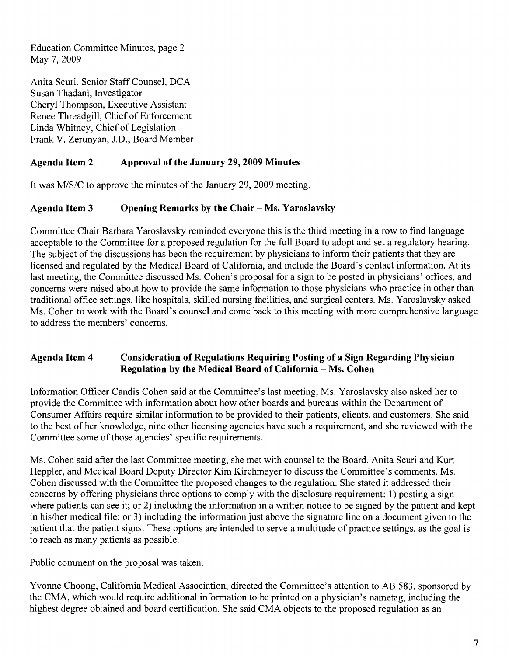Education Committee Minutes, page 2 May 7, 2009

Anita Scuri, Senior Staff Counsel, DCA Susan Thadani, Investigator Cheryl Thompson, Executive Assistant Renee Threadgill, Chief of Enforcement Linda Whitney, Chief of Legislation Frank V. Zerunyan, J.D., Board Member

# **Agenda Item 2 Approval of the January 29, 2009 Minutes**

It was M/S/C to approve the minutes of the January 29, 2009 meeting.

## Agenda Item 3 Opening Remarks by the Chair – Ms. Yaroslavsky

Committee Chair Barbara Yaroslavsky reminded everyone this is the third meeting in a row to find language acceptable to the Committee for a proposed regulation for the full Board to adopt and set a regulatory hearing. The subject of the discussions has been the requirement by physicians to inform their patients that they are licensed and regulated by the Medical Board of California, and include the Board's contact information. At its last meeting, the Committee discussed Ms. Cohen's proposal for a sign to be posted in physicians' offices, and concerns were raised about how to provide the same information to those physicians who practice in other than traditional office settings, like hospitals, skilled nursing facilities, and surgical centers. Ms. Y aroslavsky asked Ms. Cohen to work with the Board's counsel and come back to this meeting with more comprehensive language to address the members' concerns.

## **Agenda Item 4 Consideration of Regulations Requiring Posting of a Sign Regarding Physician Regulation by the Medical Board of California - Ms. Cohen**

Information Officer Candis Cohen said at the Committee's last meeting, Ms. Yaroslavsky also asked her to provide the Committee with information about how other boards and bureaus within the Department of Consumer Affairs require similar information to be provided to their patients, clients, and customers. She said to the best of her knowledge, nine other licensing agencies have such a requirement, and she reviewed with the Committee some of those agencies' specific requirements.

Ms. Cohen said after the last Committee meeting, she met with counsel to the Board, Anita Scuri and Kurt Heppler, and Medical Board Deputy Director Kim Kirchmeyer to discuss the Committee's comments. Ms. Cohen discussed with the Committee the proposed changes to the regulation. She stated it addressed their concerns by offering physicians three options to comply with the disclosure requirement: 1) posting a sign where patients can see it; or 2) including the information in a written notice to be signed by the patient and kept in his/her medical file; or 3) including the information just above the signature line on a document given to the patient that the patient signs. These options are intended to serve a multitude of practice settings, as the goal is to reach as many patients as possible.

Public comment on the proposal was taken.

Yvonne Choong, California Medical Association, directed the Committee's attention to AB 583, sponsored by the CMA, which would require additional information to be printed on a physician's nametag, including the highest degree obtained and board certification. She said CMA objects to the proposed regulation as an